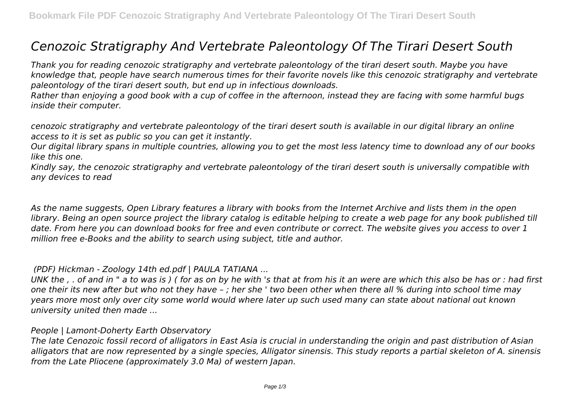# *Cenozoic Stratigraphy And Vertebrate Paleontology Of The Tirari Desert South*

*Thank you for reading cenozoic stratigraphy and vertebrate paleontology of the tirari desert south. Maybe you have knowledge that, people have search numerous times for their favorite novels like this cenozoic stratigraphy and vertebrate paleontology of the tirari desert south, but end up in infectious downloads.*

*Rather than enjoying a good book with a cup of coffee in the afternoon, instead they are facing with some harmful bugs inside their computer.*

*cenozoic stratigraphy and vertebrate paleontology of the tirari desert south is available in our digital library an online access to it is set as public so you can get it instantly.*

*Our digital library spans in multiple countries, allowing you to get the most less latency time to download any of our books like this one.*

*Kindly say, the cenozoic stratigraphy and vertebrate paleontology of the tirari desert south is universally compatible with any devices to read*

*As the name suggests, Open Library features a library with books from the Internet Archive and lists them in the open library. Being an open source project the library catalog is editable helping to create a web page for any book published till date. From here you can download books for free and even contribute or correct. The website gives you access to over 1 million free e-Books and the ability to search using subject, title and author.*

#### *(PDF) Hickman - Zoology 14th ed.pdf | PAULA TATIANA ...*

*UNK the , . of and in " a to was is ) ( for as on by he with 's that at from his it an were are which this also be has or : had first one their its new after but who not they have – ; her she ' two been other when there all % during into school time may years more most only over city some world would where later up such used many can state about national out known university united then made ...*

## *People | Lamont-Doherty Earth Observatory*

*The late Cenozoic fossil record of alligators in East Asia is crucial in understanding the origin and past distribution of Asian alligators that are now represented by a single species, Alligator sinensis. This study reports a partial skeleton of A. sinensis from the Late Pliocene (approximately 3.0 Ma) of western Japan.*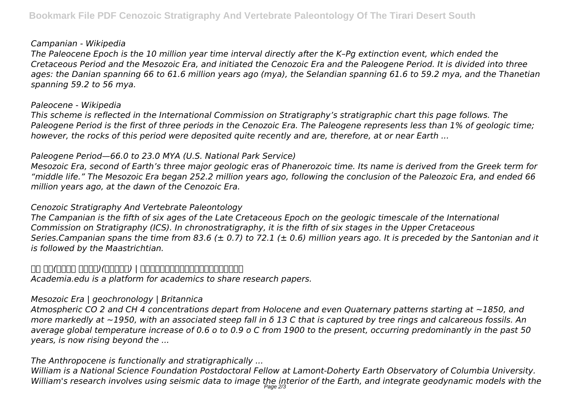#### *Campanian - Wikipedia*

*The Paleocene Epoch is the 10 million year time interval directly after the K–Pg extinction event, which ended the Cretaceous Period and the Mesozoic Era, and initiated the Cenozoic Era and the Paleogene Period. It is divided into three ages: the Danian spanning 66 to 61.6 million years ago (mya), the Selandian spanning 61.6 to 59.2 mya, and the Thanetian spanning 59.2 to 56 mya.*

#### *Paleocene - Wikipedia*

*This scheme is reflected in the International Commission on Stratigraphy's stratigraphic chart this page follows. The Paleogene Period is the first of three periods in the Cenozoic Era. The Paleogene represents less than 1% of geologic time; however, the rocks of this period were deposited quite recently and are, therefore, at or near Earth ...*

## *Paleogene Period—66.0 to 23.0 MYA (U.S. National Park Service)*

*Mesozoic Era, second of Earth's three major geologic eras of Phanerozoic time. Its name is derived from the Greek term for "middle life." The Mesozoic Era began 252.2 million years ago, following the conclusion of the Paleozoic Era, and ended 66 million years ago, at the dawn of the Cenozoic Era.*

## *Cenozoic Stratigraphy And Vertebrate Paleontology*

*The Campanian is the fifth of six ages of the Late Cretaceous Epoch on the geologic timescale of the International Commission on Stratigraphy (ICS). In chronostratigraphy, it is the fifth of six stages in the Upper Cretaceous Series.Campanian spans the time from 83.6 (± 0.7) to 72.1 (± 0.6) million years ago. It is preceded by the Santonian and it is followed by the Maastrichtian.*

#### *小林 快次(コバヤシ ヨシツグ)(総合博物館) | 北海道大学の研究者(北海道大学研究者総覧)*

*Academia.edu is a platform for academics to share research papers.*

## *Mesozoic Era | geochronology | Britannica*

*Atmospheric CO 2 and CH 4 concentrations depart from Holocene and even Quaternary patterns starting at ~1850, and more markedly at ~1950, with an associated steep fall in δ 13 C that is captured by tree rings and calcareous fossils. An average global temperature increase of 0.6 o to 0.9 o C from 1900 to the present, occurring predominantly in the past 50 years, is now rising beyond the ...*

## *The Anthropocene is functionally and stratigraphically ...*

*William is a National Science Foundation Postdoctoral Fellow at Lamont-Doherty Earth Observatory of Columbia University. William's research involves using seismic data to image the interior of the Earth, and integrate geodynamic models with the* Page 2/3